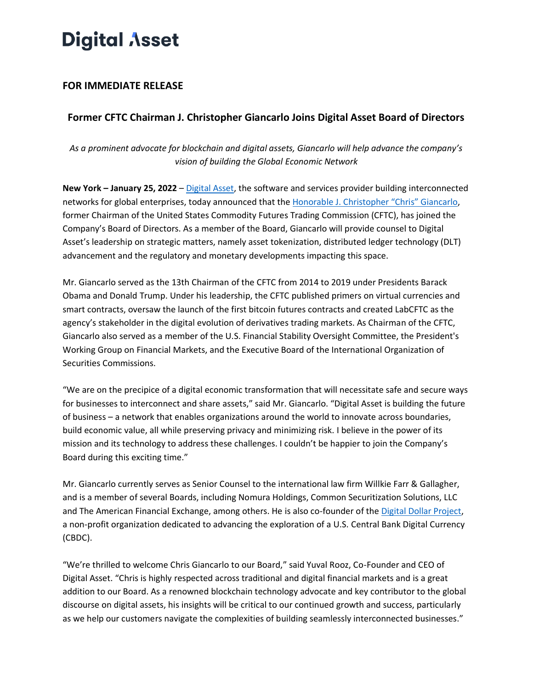# **Digital Asset**

## **FOR IMMEDIATE RELEASE**

## **Former CFTC Chairman J. Christopher Giancarlo Joins Digital Asset Board of Directors**

*As a prominent advocate for blockchain and digital assets, Giancarlo will help advance the company's vision of building the Global Economic Network*

**New York – January 25, 2022** [–](http://digitalasset.com/) [Digital Asset,](http://digitalasset.com/) the software and services provider building interconnected networks for global enterprises, today announced that th[e](https://www.chrisgiancarlo.org/biography) [Honorable J. Christopher "Chris" Giancarlo](https://www.chrisgiancarlo.org/biography), former Chairman of the United States Commodity Futures Trading Commission (CFTC), has joined the Company's Board of Directors. As a member of the Board, Giancarlo will provide counsel to Digital Asset's leadership on strategic matters, namely asset tokenization, distributed ledger technology (DLT) advancement and the regulatory and monetary developments impacting this space.

Mr. Giancarlo served as the 13th Chairman of the CFTC from 2014 to 2019 under Presidents Barack Obama and Donald Trump. Under his leadership, the CFTC published primers on virtual currencies and smart contracts, oversaw the launch of the first bitcoin futures contracts and created LabCFTC as the agency's stakeholder in the digital evolution of derivatives trading markets. As Chairman of the CFTC, Giancarlo also served as a member of the U.S. Financial Stability Oversight Committee, the President's Working Group on Financial Markets, and the Executive Board of the International Organization of Securities Commissions.

"We are on the precipice of a digital economic transformation that will necessitate safe and secure ways for businesses to interconnect and share assets," said Mr. Giancarlo. "Digital Asset is building the future of business – a network that enables organizations around the world to innovate across boundaries, build economic value, all while preserving privacy and minimizing risk. I believe in the power of its mission and its technology to address these challenges. I couldn't be happier to join the Company's Board during this exciting time."

Mr. Giancarlo currently serves as Senior Counsel to the international law firm Willkie Farr & Gallagher, and is a member of several Boards, including Nomura Holdings, Common Securitization Solutions, LLC and Th[e](https://digitaldollarproject.org/) American Financial Exchange, among others. He is also co-founder of the [Digital Dollar Project,](https://digitaldollarproject.org/) a non-profit organization dedicated to advancing the exploration of a U.S. Central Bank Digital Currency (CBDC).

"We're thrilled to welcome Chris Giancarlo to our Board," said Yuval Rooz, Co-Founder and CEO of Digital Asset. "Chris is highly respected across traditional and digital financial markets and is a great addition to our Board. As a renowned blockchain technology advocate and key contributor to the global discourse on digital assets, his insights will be critical to our continued growth and success, particularly as we help our customers navigate the complexities of building seamlessly interconnected businesses."